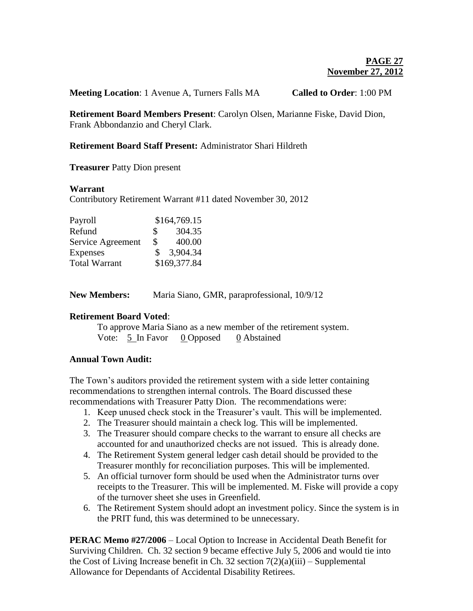**Meeting Location**: 1 Avenue A, Turners Falls MA **Called to Order**: 1:00 PM

**Retirement Board Members Present**: Carolyn Olsen, Marianne Fiske, David Dion, Frank Abbondanzio and Cheryl Clark.

## **Retirement Board Staff Present:** Administrator Shari Hildreth

**Treasurer** Patty Dion present

### **Warrant**

Contributory Retirement Warrant #11 dated November 30, 2012

| Payroll              |               | \$164,769.15 |
|----------------------|---------------|--------------|
| Refund               | \$            | 304.35       |
| Service Agreement    | \$            | 400.00       |
| Expenses             | $\mathcal{S}$ | 3,904.34     |
| <b>Total Warrant</b> |               | \$169,377.84 |

| <b>New Members:</b><br>Maria Siano, GMR, paraprofessional, 10/9/12 |  |
|--------------------------------------------------------------------|--|
|--------------------------------------------------------------------|--|

# **Retirement Board Voted**:

To approve Maria Siano as a new member of the retirement system. Vote: 5 In Favor 0 Opposed 0 Abstained

# **Annual Town Audit:**

The Town's auditors provided the retirement system with a side letter containing recommendations to strengthen internal controls. The Board discussed these recommendations with Treasurer Patty Dion. The recommendations were:

- 1. Keep unused check stock in the Treasurer's vault. This will be implemented.
- 2. The Treasurer should maintain a check log. This will be implemented.
- 3. The Treasurer should compare checks to the warrant to ensure all checks are accounted for and unauthorized checks are not issued. This is already done.
- 4. The Retirement System general ledger cash detail should be provided to the Treasurer monthly for reconciliation purposes. This will be implemented.
- 5. An official turnover form should be used when the Administrator turns over receipts to the Treasurer. This will be implemented. M. Fiske will provide a copy of the turnover sheet she uses in Greenfield.
- 6. The Retirement System should adopt an investment policy. Since the system is in the PRIT fund, this was determined to be unnecessary.

**PERAC Memo #27/2006** – Local Option to Increase in Accidental Death Benefit for Surviving Children. Ch. 32 section 9 became effective July 5, 2006 and would tie into the Cost of Living Increase benefit in Ch. 32 section  $7(2)(a)(iii)$  – Supplemental Allowance for Dependants of Accidental Disability Retirees.